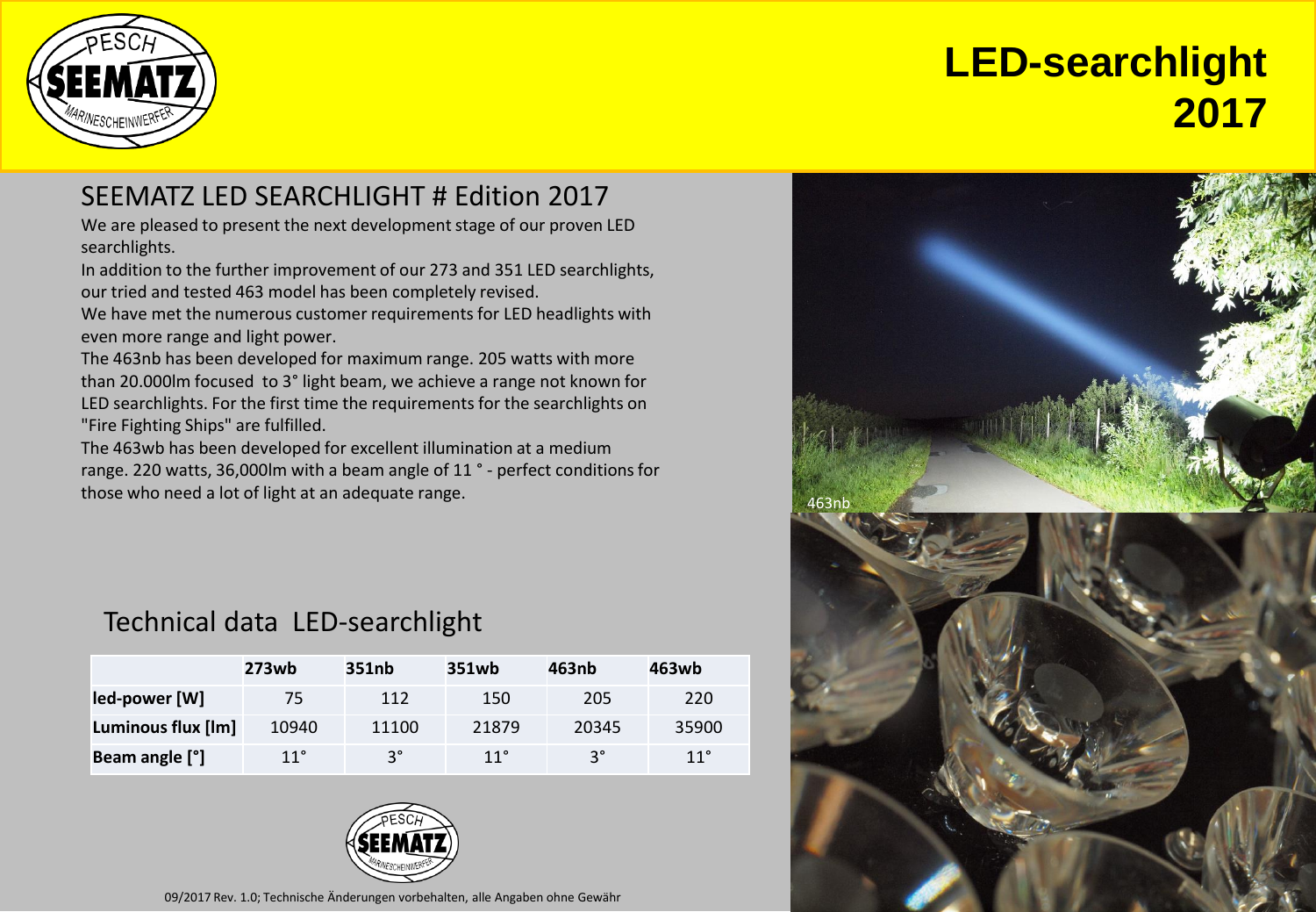



## SEEMATZ LED SEARCHLIGHT # Edition 2017

We are pleased to present the next development stage of our proven LED searchlights.

In addition to the further improvement of our 273 and 351 LED searchlights, our tried and tested 463 model has been completely revised.

We have met the numerous customer requirements for LED headlights with even more range and light power.

The 463nb has been developed for maximum range. 205 watts with more than 20.000lm focused to 3° light beam, we achieve a range not known for LED searchlights. For the first time the requirements for the searchlights on "Fire Fighting Ships" are fulfilled.

The 463wb has been developed for excellent illumination at a medium range. 220 watts, 36,000lm with a beam angle of 11 ° - perfect conditions for those who need a lot of light at an adequate range.

## Technical data LED-searchlight

|                    | 273wb | 351nb     | 351wb | 463nb | 463wb |
|--------------------|-------|-----------|-------|-------|-------|
| led-power [W]      | 75    | 112       | 150   | 205   | 220   |
| Luminous flux [lm] | 10940 | 11100     | 21879 | 20345 | 35900 |
| Beam angle [°]     | 11°   | $3^\circ$ | 11°   | ٩°    | 11°   |



09/2017 Rev. 1.0; Technische Änderungen vorbehalten, alle Angaben ohne Gewähr

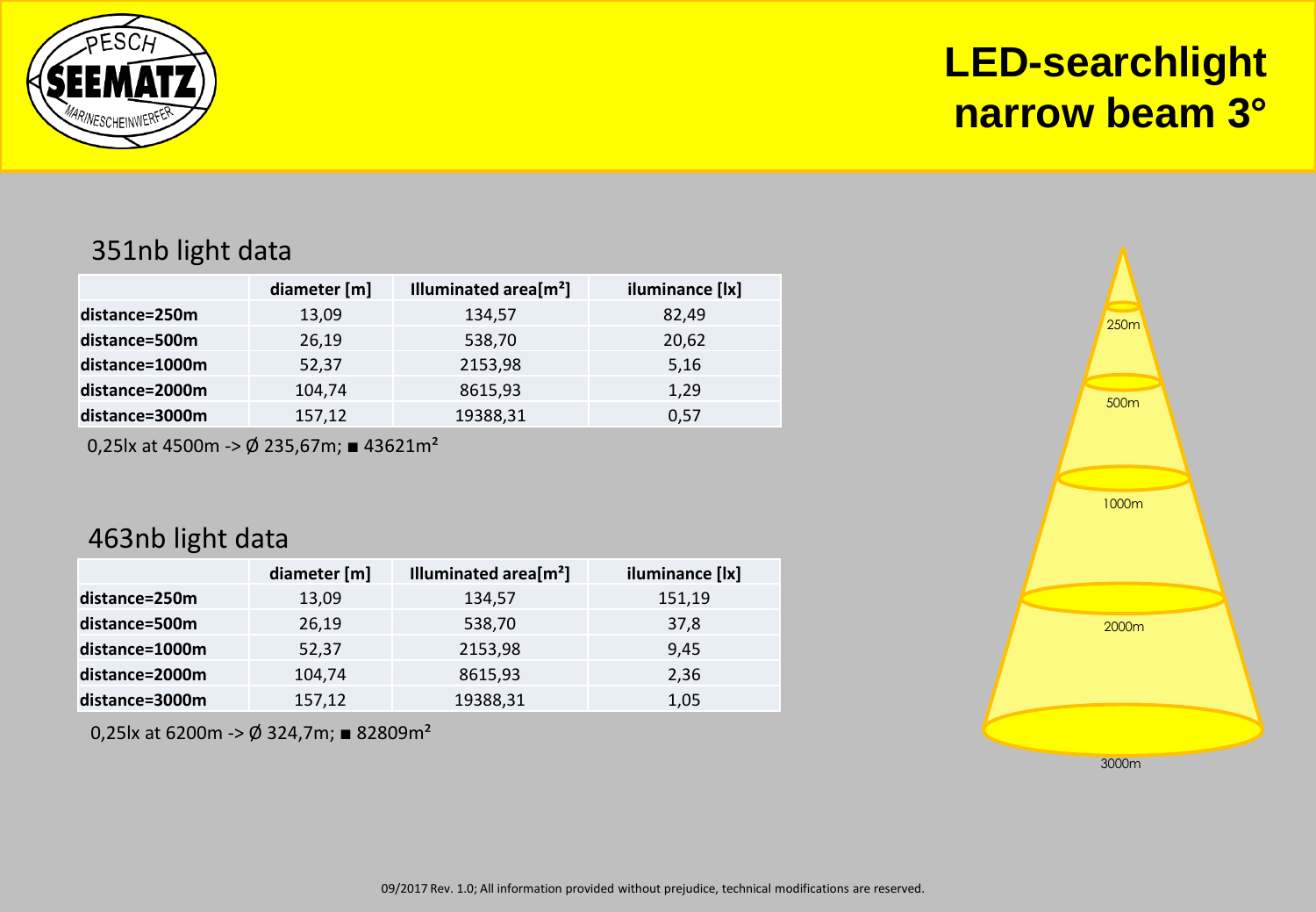

351nb light data

|                | diameter [m] | Illuminated area[m <sup>2</sup> ] | iluminance [lx] |
|----------------|--------------|-----------------------------------|-----------------|
| distance=250m  | 13,09        | 134,57                            | 82,49           |
| distance=500m  | 26,19        | 538,70                            | 20,62           |
| distance=1000m | 52,37        | 2153,98                           | 5,16            |
| distance=2000m | 104,74       | 8615,93                           | 1,29            |
| distance=3000m | 157,12       | 19388,31                          | 0,57            |

0,25lx at 4500m -> Ø 235,67m; ■ 43621m<sup>2</sup>

#### 463nb light data

|                | diameter [m] | Illuminated area $[m^2]$ | iluminance [lx] |
|----------------|--------------|--------------------------|-----------------|
| distance=250m  | 13,09        | 134,57                   | 151,19          |
| distance=500m  | 26,19        | 538,70                   | 37,8            |
| distance=1000m | 52,37        | 2153,98                  | 9,45            |
| distance=2000m | 104,74       | 8615,93                  | 2,36            |
| distance=3000m | 157,12       | 19388,31                 | 1,05            |

0,25lx at 6200m ->  $\emptyset$  324,7m; ■ 82809m<sup>2</sup>

**LED-searchlight narrow beam 3°**